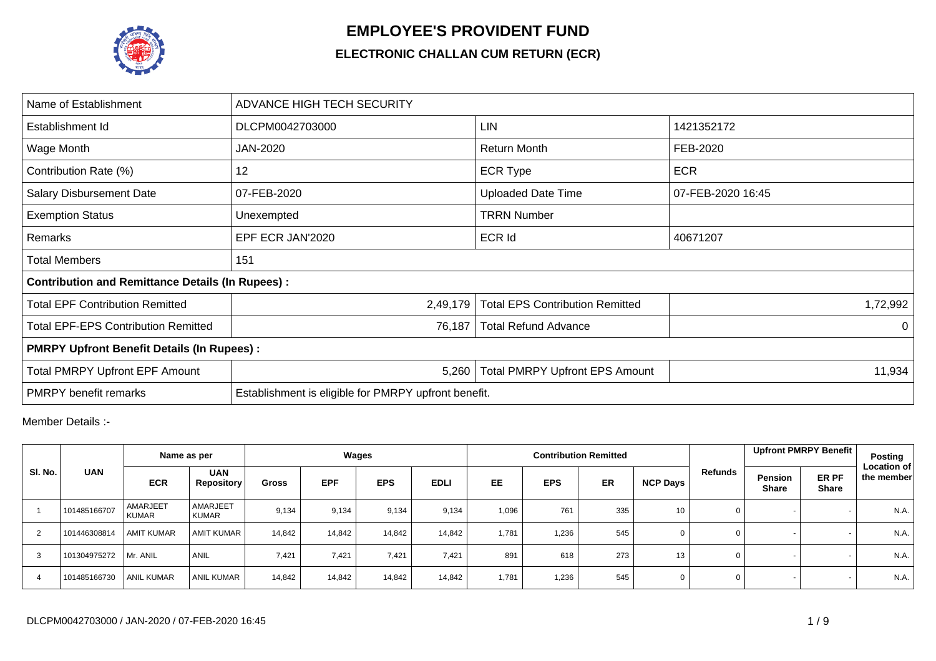

## **EMPLOYEE'S PROVIDENT FUND**

## **ELECTRONIC CHALLAN CUM RETURN (ECR)**

| Name of Establishment                                   | ADVANCE HIGH TECH SECURITY                           |                                        |                   |  |  |  |  |  |  |  |  |
|---------------------------------------------------------|------------------------------------------------------|----------------------------------------|-------------------|--|--|--|--|--|--|--|--|
| Establishment Id                                        | DLCPM0042703000                                      | LIN                                    | 1421352172        |  |  |  |  |  |  |  |  |
| Wage Month                                              | JAN-2020                                             | Return Month                           | FEB-2020          |  |  |  |  |  |  |  |  |
| Contribution Rate (%)                                   | 12                                                   | <b>ECR Type</b>                        | <b>ECR</b>        |  |  |  |  |  |  |  |  |
| <b>Salary Disbursement Date</b>                         | 07-FEB-2020                                          | <b>Uploaded Date Time</b>              | 07-FEB-2020 16:45 |  |  |  |  |  |  |  |  |
| <b>Exemption Status</b>                                 | Unexempted                                           | <b>TRRN Number</b>                     |                   |  |  |  |  |  |  |  |  |
| Remarks                                                 | EPF ECR JAN'2020                                     | <b>ECR Id</b>                          | 40671207          |  |  |  |  |  |  |  |  |
| <b>Total Members</b>                                    | 151                                                  |                                        |                   |  |  |  |  |  |  |  |  |
| <b>Contribution and Remittance Details (In Rupees):</b> |                                                      |                                        |                   |  |  |  |  |  |  |  |  |
| <b>Total EPF Contribution Remitted</b>                  | 2,49,179                                             | <b>Total EPS Contribution Remitted</b> | 1,72,992          |  |  |  |  |  |  |  |  |
| <b>Total EPF-EPS Contribution Remitted</b>              | 76,187                                               | <b>Total Refund Advance</b>            | $\Omega$          |  |  |  |  |  |  |  |  |
| <b>PMRPY Upfront Benefit Details (In Rupees):</b>       |                                                      |                                        |                   |  |  |  |  |  |  |  |  |
| <b>Total PMRPY Upfront EPF Amount</b>                   | 5,260                                                | <b>Total PMRPY Upfront EPS Amount</b>  | 11,934            |  |  |  |  |  |  |  |  |
| <b>PMRPY</b> benefit remarks                            | Establishment is eligible for PMRPY upfront benefit. |                                        |                   |  |  |  |  |  |  |  |  |

Member Details :-

|                |                            | Name as per              |                                 |              |            | Wages      |             |       |            | <b>Contribution Remitted</b> |                 |                |                         | Upfront PMRPY Benefit | Posting                          |
|----------------|----------------------------|--------------------------|---------------------------------|--------------|------------|------------|-------------|-------|------------|------------------------------|-----------------|----------------|-------------------------|-----------------------|----------------------------------|
| SI. No.        | <b>UAN</b><br>101485166707 | <b>ECR</b>               | <b>UAN</b><br><b>Repository</b> | <b>Gross</b> | <b>EPF</b> | <b>EPS</b> | <b>EDLI</b> | EE    | <b>EPS</b> | <b>ER</b>                    | <b>NCP Days</b> | <b>Refunds</b> | Pension<br><b>Share</b> | ER PF<br><b>Share</b> | <b>Location of</b><br>the member |
|                |                            | AMARJEET<br><b>KUMAR</b> | AMARJEET<br><b>KUMAR</b>        | 9,134        | 9,134      | 9,134      | 9,134       | 1,096 | 761        | 335                          | 10 <sup>1</sup> | 0              |                         |                       | N.A.                             |
| $\overline{2}$ | 101446308814               | <b>AMIT KUMAR</b>        | <b>AMIT KUMAR</b>               | 14,842       | 14,842     | 14,842     | 14,842      | 1,781 | 1,236      | 545                          | 0               | 0              |                         |                       | N.A.                             |
| 3              | 101304975272               | Mr. ANIL                 | <b>ANIL</b>                     | 7,421        | 7,421      | 7,421      | 7,421       | 891   | 618        | 273                          | 13              | 0              |                         |                       | N.A.                             |
| $\overline{4}$ | 101485166730               | <b>ANIL KUMAR</b>        | <b>ANIL KUMAR</b>               | 14.842       | 14,842     | 14,842     | 14.842      | 1,781 | 1,236      | 545                          | 0               | 0              |                         |                       | N.A.                             |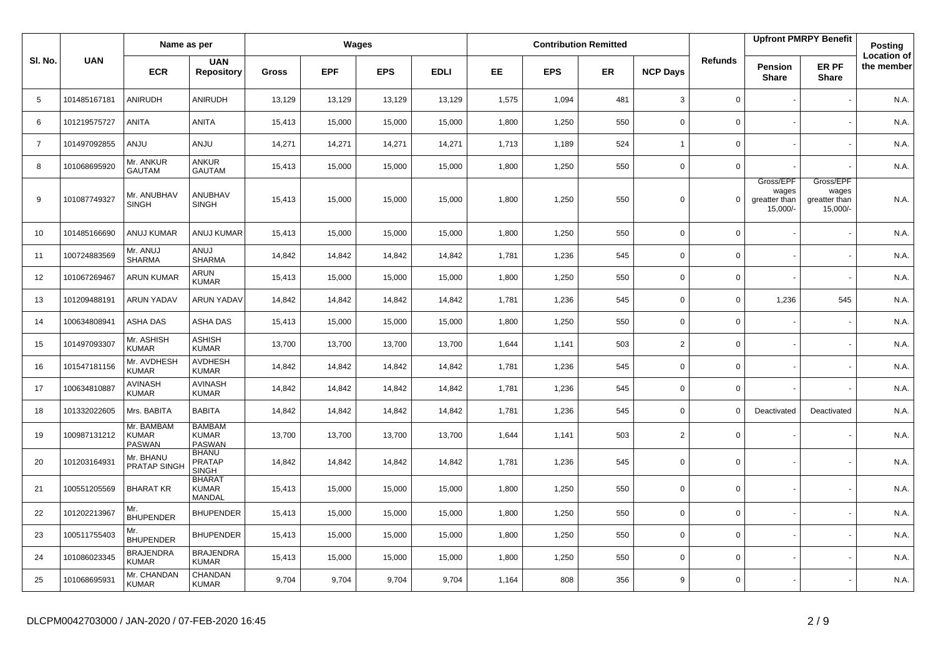|                |              | Name as per                          |                                                |              |            | Wages      |             |           |            | <b>Contribution Remitted</b> |                 |                |                                                 | <b>Upfront PMRPY Benefit</b>                      | Posting                          |
|----------------|--------------|--------------------------------------|------------------------------------------------|--------------|------------|------------|-------------|-----------|------------|------------------------------|-----------------|----------------|-------------------------------------------------|---------------------------------------------------|----------------------------------|
| SI. No.        | <b>UAN</b>   | <b>ECR</b>                           | <b>UAN</b><br><b>Repository</b>                | <b>Gross</b> | <b>EPF</b> | <b>EPS</b> | <b>EDLI</b> | <b>EE</b> | <b>EPS</b> | <b>ER</b>                    | <b>NCP Days</b> | <b>Refunds</b> | <b>Pension</b><br><b>Share</b>                  | ER PF<br><b>Share</b>                             | <b>Location of</b><br>the member |
| 5              | 101485167181 | ANIRUDH                              | ANIRUDH                                        | 13,129       | 13,129     | 13,129     | 13,129      | 1,575     | 1,094      | 481                          | 3               | $\mathbf 0$    |                                                 |                                                   | N.A.                             |
| 6              | 101219575727 | <b>ANITA</b>                         | <b>ANITA</b>                                   | 15,413       | 15,000     | 15,000     | 15,000      | 1,800     | 1,250      | 550                          | $\mathbf 0$     | $\mathbf 0$    |                                                 |                                                   | N.A.                             |
| $\overline{7}$ | 101497092855 | <b>ANJU</b>                          | <b>ANJU</b>                                    | 14,271       | 14,271     | 14,271     | 14,271      | 1,713     | 1,189      | 524                          | $\overline{1}$  | 0              |                                                 |                                                   | N.A.                             |
| 8              | 101068695920 | Mr. ANKUR<br><b>GAUTAM</b>           | ANKUR<br><b>GAUTAM</b>                         | 15,413       | 15,000     | 15,000     | 15,000      | 1,800     | 1,250      | 550                          | $\mathbf 0$     | $\mathbf{0}$   |                                                 |                                                   | N.A.                             |
| 9              | 101087749327 | Mr. ANUBHAV<br><b>SINGH</b>          | ANUBHAV<br><b>SINGH</b>                        | 15,413       | 15,000     | 15,000     | 15,000      | 1,800     | 1,250      | 550                          | $\Omega$        | $\Omega$       | Gross/EPF<br>wages<br>greatter than<br>15,000/- | Gross/EPF<br>wages<br>greatter than<br>$15,000/-$ | N.A.                             |
| 10             | 101485166690 | ANUJ KUMAR                           | ANUJ KUMAR                                     | 15,413       | 15,000     | 15,000     | 15,000      | 1,800     | 1,250      | 550                          | $\mathbf 0$     | 0              |                                                 |                                                   | N.A.                             |
| 11             | 100724883569 | Mr. ANUJ<br><b>SHARMA</b>            | LUIA<br><b>SHARMA</b>                          | 14,842       | 14,842     | 14,842     | 14,842      | 1,781     | 1,236      | 545                          | $\mathbf 0$     | 0              |                                                 |                                                   | N.A.                             |
| 12             | 101067269467 | <b>ARUN KUMAR</b>                    | ARUN<br><b>KUMAR</b>                           | 15,413       | 15,000     | 15,000     | 15,000      | 1,800     | 1,250      | 550                          | $\mathbf 0$     | $\mathbf 0$    |                                                 |                                                   | N.A.                             |
| 13             | 101209488191 | <b>ARUN YADAV</b>                    | <b>ARUN YADAV</b>                              | 14,842       | 14,842     | 14,842     | 14,842      | 1,781     | 1,236      | 545                          | $\mathbf 0$     | $\mathbf 0$    | 1,236                                           | 545                                               | N.A.                             |
| 14             | 100634808941 | <b>ASHA DAS</b>                      | ASHA DAS                                       | 15,413       | 15,000     | 15,000     | 15,000      | 1,800     | 1,250      | 550                          | $\mathbf 0$     | 0              |                                                 |                                                   | N.A.                             |
| 15             | 101497093307 | Mr. ASHISH<br><b>KUMAR</b>           | <b>ASHISH</b><br><b>KUMAR</b>                  | 13,700       | 13,700     | 13,700     | 13,700      | 1,644     | 1,141      | 503                          | $\overline{2}$  | 0              |                                                 |                                                   | N.A.                             |
| 16             | 101547181156 | Mr. AVDHESH<br><b>KUMAR</b>          | <b>AVDHESH</b><br><b>KUMAR</b>                 | 14,842       | 14,842     | 14,842     | 14,842      | 1,781     | 1,236      | 545                          | 0               | 0              |                                                 |                                                   | N.A.                             |
| 17             | 100634810887 | <b>AVINASH</b><br><b>KUMAR</b>       | <b>AVINASH</b><br><b>KUMAR</b>                 | 14,842       | 14,842     | 14,842     | 14,842      | 1,781     | 1,236      | 545                          | $\mathbf 0$     | 0              |                                                 |                                                   | N.A.                             |
| 18             | 101332022605 | Mrs. BABITA                          | <b>BABITA</b>                                  | 14,842       | 14,842     | 14,842     | 14,842      | 1,781     | 1,236      | 545                          | $\mathbf 0$     | $\Omega$       | Deactivated                                     | Deactivated                                       | N.A.                             |
| 19             | 100987131212 | Mr. BAMBAM<br><b>KUMAR</b><br>PASWAN | <b>BAMBAM</b><br><b>KUMAR</b><br><b>PASWAN</b> | 13,700       | 13,700     | 13,700     | 13,700      | 1,644     | 1,141      | 503                          | $\overline{2}$  | 0              |                                                 |                                                   | N.A.                             |
| 20             | 101203164931 | Mr. BHANU<br>PRATAP SINGH            | <b>BHANU</b><br><b>PRATAP</b><br><b>SINGH</b>  | 14,842       | 14,842     | 14,842     | 14,842      | 1,781     | 1,236      | 545                          | $\mathbf 0$     | $\mathbf 0$    |                                                 |                                                   | N.A.                             |
| 21             | 100551205569 | <b>BHARAT KR</b>                     | <b>BHARAT</b><br><b>KUMAR</b><br>MANDAL        | 15,413       | 15,000     | 15,000     | 15,000      | 1,800     | 1,250      | 550                          | $\mathbf 0$     | 0              |                                                 |                                                   | N.A.                             |
| 22             | 101202213967 | Mr.<br><b>BHUPENDER</b>              | <b>BHUPENDER</b>                               | 15,413       | 15,000     | 15,000     | 15,000      | 1,800     | 1,250      | 550                          | $\Omega$        | $\mathbf 0$    |                                                 |                                                   | N.A.                             |
| 23             | 100511755403 | Mr.<br><b>BHUPENDER</b>              | <b>BHUPENDER</b>                               | 15,413       | 15,000     | 15,000     | 15,000      | 1,800     | 1,250      | 550                          | $\mathbf 0$     | 0              |                                                 |                                                   | N.A.                             |
| 24             | 101086023345 | <b>BRAJENDRA</b><br><b>KUMAR</b>     | <b>BRAJENDRA</b><br><b>KUMAR</b>               | 15,413       | 15,000     | 15,000     | 15,000      | 1,800     | 1,250      | 550                          | 0               | 0              |                                                 |                                                   | N.A.                             |
| 25             | 101068695931 | Mr. CHANDAN<br><b>KUMAR</b>          | CHANDAN<br><b>KUMAR</b>                        | 9,704        | 9,704      | 9,704      | 9,704       | 1,164     | 808        | 356                          | 9               | 0              |                                                 |                                                   | N.A.                             |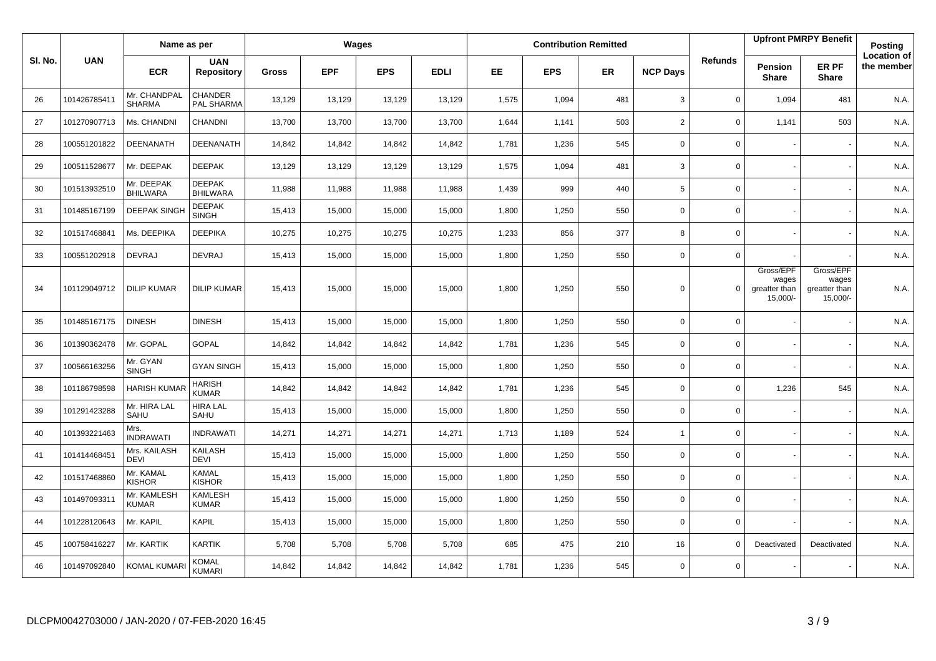|         |              | Name as per                   |                                  |              |            | Wages      |             |       |            | <b>Contribution Remitted</b> |                 |                |                                                 | <b>Upfront PMRPY Benefit</b>                    | Posting                          |
|---------|--------------|-------------------------------|----------------------------------|--------------|------------|------------|-------------|-------|------------|------------------------------|-----------------|----------------|-------------------------------------------------|-------------------------------------------------|----------------------------------|
| SI. No. | <b>UAN</b>   | <b>ECR</b>                    | <b>UAN</b><br><b>Repository</b>  | <b>Gross</b> | <b>EPF</b> | <b>EPS</b> | <b>EDLI</b> | EE.   | <b>EPS</b> | <b>ER</b>                    | <b>NCP Days</b> | <b>Refunds</b> | Pension<br><b>Share</b>                         | ER PF<br><b>Share</b>                           | <b>Location of</b><br>the member |
| 26      | 101426785411 | Mr. CHANDPAL<br><b>SHARMA</b> | <b>CHANDER</b><br>PAL SHARMA     | 13,129       | 13,129     | 13,129     | 13,129      | 1,575 | 1,094      | 481                          | 3               | $\mathbf 0$    | 1,094                                           | 481                                             | N.A.                             |
| 27      | 101270907713 | Ms. CHANDNI                   | CHANDNI                          | 13,700       | 13,700     | 13,700     | 13,700      | 1,644 | 1,141      | 503                          | 2               | $\mathbf 0$    | 1,141                                           | 503                                             | N.A.                             |
| 28      | 100551201822 | DEENANATH                     | <b>DEENANATH</b>                 | 14,842       | 14,842     | 14,842     | 14,842      | 1,781 | 1,236      | 545                          | $\mathbf 0$     | $\mathsf{O}$   |                                                 |                                                 | N.A.                             |
| 29      | 100511528677 | Mr. DEEPAK                    | <b>DEEPAK</b>                    | 13,129       | 13,129     | 13,129     | 13,129      | 1,575 | 1,094      | 481                          | 3               | $\mathbf 0$    |                                                 |                                                 | N.A.                             |
| 30      | 101513932510 | Mr. DEEPAK<br><b>BHILWARA</b> | <b>DEEPAK</b><br><b>BHILWARA</b> | 11,988       | 11,988     | 11,988     | 11,988      | 1,439 | 999        | 440                          | 5               | $\mathbf 0$    |                                                 |                                                 | N.A.                             |
| 31      | 101485167199 | <b>DEEPAK SINGH</b>           | <b>DEEPAK</b><br><b>SINGH</b>    | 15,413       | 15,000     | 15,000     | 15,000      | 1,800 | 1,250      | 550                          | $\mathbf 0$     | $\mathbf 0$    |                                                 |                                                 | N.A.                             |
| 32      | 101517468841 | Ms. DEEPIKA                   | <b>DEEPIKA</b>                   | 10,275       | 10,275     | 10,275     | 10,275      | 1,233 | 856        | 377                          | 8               | $\mathsf{O}$   |                                                 |                                                 | N.A.                             |
| 33      | 100551202918 | <b>DEVRAJ</b>                 | <b>DEVRAJ</b>                    | 15,413       | 15,000     | 15,000     | 15,000      | 1,800 | 1,250      | 550                          | $\mathbf 0$     | $\mathbf 0$    |                                                 |                                                 | N.A.                             |
| 34      | 101129049712 | <b>DILIP KUMAR</b>            | <b>DILIP KUMAR</b>               | 15,413       | 15,000     | 15,000     | 15,000      | 1,800 | 1,250      | 550                          | $\mathbf 0$     | $\Omega$       | Gross/EPF<br>wages<br>greatter than<br>15,000/- | Gross/EPF<br>wages<br>greatter than<br>15,000/- | N.A.                             |
| 35      | 101485167175 | <b>DINESH</b>                 | <b>DINESH</b>                    | 15,413       | 15,000     | 15,000     | 15,000      | 1,800 | 1,250      | 550                          | $\mathbf 0$     | $\mathbf 0$    |                                                 |                                                 | N.A.                             |
| 36      | 101390362478 | Mr. GOPAL                     | <b>GOPAL</b>                     | 14,842       | 14,842     | 14,842     | 14,842      | 1,781 | 1,236      | 545                          | $\mathbf 0$     | $\mathbf 0$    |                                                 |                                                 | N.A.                             |
| 37      | 100566163256 | Mr. GYAN<br><b>SINGH</b>      | <b>GYAN SINGH</b>                | 15,413       | 15,000     | 15,000     | 15,000      | 1,800 | 1,250      | 550                          | $\mathbf 0$     | $\mathbf 0$    |                                                 |                                                 | N.A.                             |
| 38      | 101186798598 | <b>HARISH KUMA</b>            | <b>HARISH</b><br><b>KUMAR</b>    | 14,842       | 14,842     | 14,842     | 14,842      | 1,781 | 1,236      | 545                          | $\mathbf 0$     | $\mathsf 0$    | 1,236                                           | 545                                             | N.A.                             |
| 39      | 101291423288 | Mr. HIRA LAL<br>SAHU          | <b>HIRA LAL</b><br>SAHU          | 15,413       | 15,000     | 15,000     | 15,000      | 1,800 | 1,250      | 550                          | $\mathbf 0$     | $\mathbf 0$    |                                                 |                                                 | N.A.                             |
| 40      | 101393221463 | Mrs.<br><b>INDRAWATI</b>      | <b>INDRAWATI</b>                 | 14,271       | 14,271     | 14,271     | 14,271      | 1,713 | 1,189      | 524                          | $\mathbf{1}$    | $\mathbf 0$    |                                                 |                                                 | N.A.                             |
| 41      | 101414468451 | Mrs. KAILASH<br><b>DEVI</b>   | KAILASH<br><b>DEVI</b>           | 15,413       | 15,000     | 15,000     | 15,000      | 1,800 | 1,250      | 550                          | $\mathbf 0$     | $\mathsf{O}$   |                                                 |                                                 | N.A.                             |
| 42      | 101517468860 | Mr. KAMAL<br><b>KISHOR</b>    | <b>KAMAL</b><br><b>KISHOR</b>    | 15,413       | 15,000     | 15,000     | 15,000      | 1,800 | 1,250      | 550                          | $\mathbf 0$     | $\mathsf{O}$   |                                                 |                                                 | N.A.                             |
| 43      | 101497093311 | Mr. KAMLESH<br><b>KUMAR</b>   | <b>KAMLESH</b><br><b>KUMAR</b>   | 15,413       | 15,000     | 15,000     | 15,000      | 1,800 | 1,250      | 550                          | $\mathbf 0$     | $\mathbf 0$    |                                                 |                                                 | N.A.                             |
| 44      | 101228120643 | Mr. KAPIL                     | <b>KAPIL</b>                     | 15,413       | 15,000     | 15,000     | 15,000      | 1,800 | 1,250      | 550                          | $\Omega$        | $\mathbf 0$    |                                                 |                                                 | N.A.                             |
| 45      | 100758416227 | Mr. KARTIK                    | KARTIK                           | 5,708        | 5,708      | 5,708      | 5,708       | 685   | 475        | 210                          | 16              | 0              | Deactivated                                     | Deactivated                                     | N.A.                             |
| 46      | 101497092840 | KOMAL KUMAR                   | <b>KOMAL</b><br><b>KUMARI</b>    | 14,842       | 14,842     | 14,842     | 14,842      | 1,781 | 1,236      | 545                          | $\mathbf 0$     | $\mathbf 0$    |                                                 |                                                 | N.A.                             |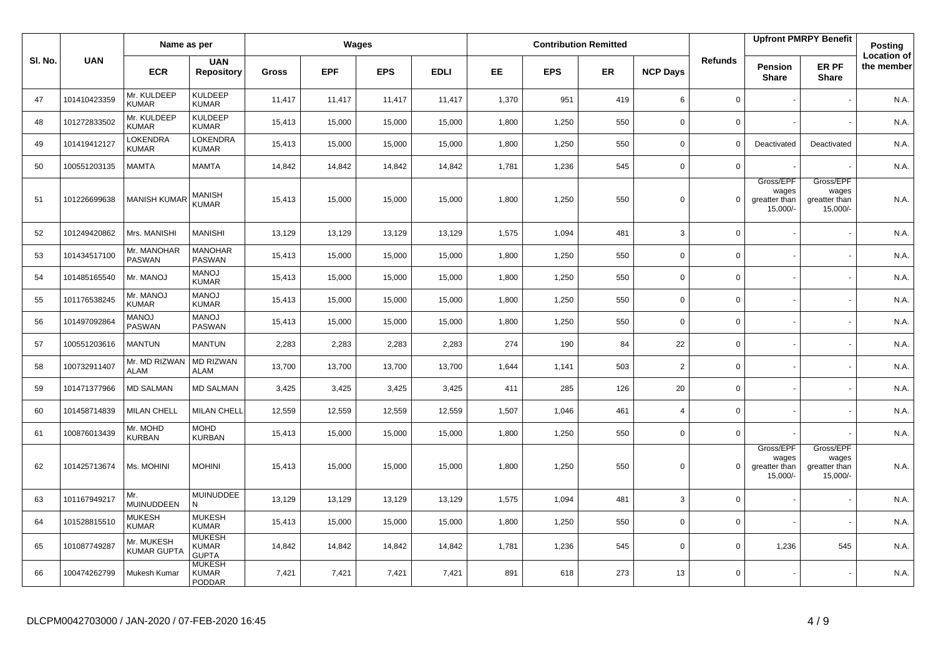|         |              | Name as per                      |                                                |              |            | Wages      |             |       |            | <b>Contribution Remitted</b> |                 |                |                                                 | <b>Upfront PMRPY Benefit</b>                    | <b>Posting</b>                   |
|---------|--------------|----------------------------------|------------------------------------------------|--------------|------------|------------|-------------|-------|------------|------------------------------|-----------------|----------------|-------------------------------------------------|-------------------------------------------------|----------------------------------|
| SI. No. | <b>UAN</b>   | <b>ECR</b>                       | <b>UAN</b><br><b>Repository</b>                | <b>Gross</b> | <b>EPF</b> | <b>EPS</b> | <b>EDLI</b> | EE.   | <b>EPS</b> | ER.                          | <b>NCP Days</b> | <b>Refunds</b> | Pension<br><b>Share</b>                         | ER PF<br><b>Share</b>                           | <b>Location of</b><br>the member |
| 47      | 101410423359 | Mr. KULDEEP<br><b>KUMAR</b>      | <b>KULDEEP</b><br><b>KUMAR</b>                 | 11,417       | 11,417     | 11,417     | 11,417      | 1,370 | 951        | 419                          | 6               | $\mathbf 0$    |                                                 |                                                 | N.A.                             |
| 48      | 101272833502 | Mr. KULDEEP<br><b>KUMAR</b>      | <b>KULDEEP</b><br><b>KUMAR</b>                 | 15,413       | 15,000     | 15,000     | 15,000      | 1,800 | 1,250      | 550                          | $\mathbf 0$     | $\mathbf 0$    |                                                 |                                                 | N.A.                             |
| 49      | 101419412127 | LOKENDRA<br><b>KUMAR</b>         | <b>LOKENDRA</b><br><b>KUMAR</b>                | 15,413       | 15,000     | 15,000     | 15,000      | 1,800 | 1,250      | 550                          | $\mathbf 0$     | $\mathbf 0$    | Deactivated                                     | Deactivated                                     | N.A.                             |
| 50      | 100551203135 | MAMTA                            | <b>MAMTA</b>                                   | 14,842       | 14,842     | 14,842     | 14,842      | 1,781 | 1,236      | 545                          | $\Omega$        | $\mathsf{O}$   |                                                 |                                                 | N.A.                             |
| 51      | 101226699638 | <b>MANISH KUMAR</b>              | <b>MANISH</b><br><b>KUMAR</b>                  | 15,413       | 15,000     | 15,000     | 15,000      | 1,800 | 1,250      | 550                          | $\mathbf 0$     | $\mathbf 0$    | Gross/EPF<br>wages<br>greatter than<br>15,000/- | Gross/EPF<br>wages<br>greatter than<br>15,000/- | N.A.                             |
| 52      | 101249420862 | Mrs. MANISHI                     | <b>MANISHI</b>                                 | 13,129       | 13,129     | 13,129     | 13,129      | 1,575 | 1,094      | 481                          | 3               | $\mathbf 0$    |                                                 |                                                 | N.A.                             |
| 53      | 101434517100 | Mr. MANOHAR<br><b>PASWAN</b>     | <b>MANOHAR</b><br><b>PASWAN</b>                | 15,413       | 15,000     | 15,000     | 15,000      | 1,800 | 1,250      | 550                          | $\mathbf 0$     | $\mathsf 0$    |                                                 |                                                 | N.A.                             |
| 54      | 101485165540 | Mr. MANOJ                        | <b>MANOJ</b><br><b>KUMAR</b>                   | 15,413       | 15,000     | 15,000     | 15,000      | 1,800 | 1,250      | 550                          | $\mathbf 0$     | $\mathbf 0$    |                                                 |                                                 | N.A.                             |
| 55      | 101176538245 | Mr. MANOJ<br><b>KUMAR</b>        | <b>MANOJ</b><br><b>KUMAR</b>                   | 15,413       | 15,000     | 15,000     | 15,000      | 1,800 | 1,250      | 550                          | $\mathbf 0$     | $\mathsf 0$    |                                                 |                                                 | N.A.                             |
| 56      | 101497092864 | <b>MANOJ</b><br>PASWAN           | <b>MANOJ</b><br><b>PASWAN</b>                  | 15,413       | 15,000     | 15,000     | 15,000      | 1,800 | 1,250      | 550                          | $\mathbf 0$     | $\mathsf 0$    |                                                 |                                                 | N.A.                             |
| 57      | 100551203616 | <b>MANTUN</b>                    | <b>MANTUN</b>                                  | 2,283        | 2,283      | 2,283      | 2,283       | 274   | 190        | 84                           | 22              | $\mathbf 0$    |                                                 |                                                 | N.A.                             |
| 58      | 100732911407 | Mr. MD RIZWAN<br><b>ALAM</b>     | <b>MD RIZWAN</b><br><b>ALAM</b>                | 13,700       | 13,700     | 13,700     | 13,700      | 1,644 | 1,141      | 503                          | 2               | $\mathbf 0$    |                                                 |                                                 | N.A.                             |
| 59      | 101471377966 | <b>MD SALMAN</b>                 | <b>MD SALMAN</b>                               | 3,425        | 3,425      | 3,425      | 3,425       | 411   | 285        | 126                          | 20              | $\mathsf 0$    |                                                 |                                                 | N.A.                             |
| 60      | 101458714839 | <b>MILAN CHELL</b>               | <b>MILAN CHELL</b>                             | 12,559       | 12,559     | 12,559     | 12,559      | 1,507 | 1,046      | 461                          | $\overline{4}$  | $\mathbf 0$    |                                                 |                                                 | N.A.                             |
| 61      | 100876013439 | Mr. MOHD<br><b>KURBAN</b>        | <b>MOHD</b><br><b>KURBAN</b>                   | 15,413       | 15,000     | 15,000     | 15,000      | 1,800 | 1,250      | 550                          | $\mathbf 0$     | $\mathbf 0$    |                                                 |                                                 | N.A.                             |
| 62      | 101425713674 | Ms. MOHINI                       | <b>MOHINI</b>                                  | 15,413       | 15,000     | 15,000     | 15,000      | 1,800 | 1,250      | 550                          | $\mathbf 0$     | $\mathbf 0$    | Gross/EPF<br>wages<br>greatter than<br>15,000/- | Gross/EPF<br>wages<br>greatter than<br>15,000/- | N.A.                             |
| 63      | 101167949217 | Mr.<br><b>MUINUDDEEN</b>         | <b>MUINUDDEE</b><br>N                          | 13,129       | 13,129     | 13,129     | 13,129      | 1,575 | 1,094      | 481                          | 3               | $\mathsf 0$    |                                                 |                                                 | N.A.                             |
| 64      | 101528815510 | <b>MUKESH</b><br><b>KUMAR</b>    | <b>MUKESH</b><br><b>KUMAR</b>                  | 15,413       | 15,000     | 15,000     | 15,000      | 1,800 | 1,250      | 550                          | $\mathbf 0$     | $\mathbf 0$    |                                                 |                                                 | N.A.                             |
| 65      | 101087749287 | Mr. MUKESH<br><b>KUMAR GUPTA</b> | <b>MUKESH</b><br><b>KUMAR</b><br><b>GUPTA</b>  | 14,842       | 14,842     | 14,842     | 14,842      | 1,781 | 1,236      | 545                          | $\mathbf 0$     | $\mathbf 0$    | 1,236                                           | 545                                             | N.A.                             |
| 66      | 100474262799 | Mukesh Kumar                     | <b>MUKESH</b><br><b>KUMAR</b><br><b>PODDAR</b> | 7,421        | 7,421      | 7,421      | 7,421       | 891   | 618        | 273                          | 13              | $\mathbf 0$    |                                                 |                                                 | N.A.                             |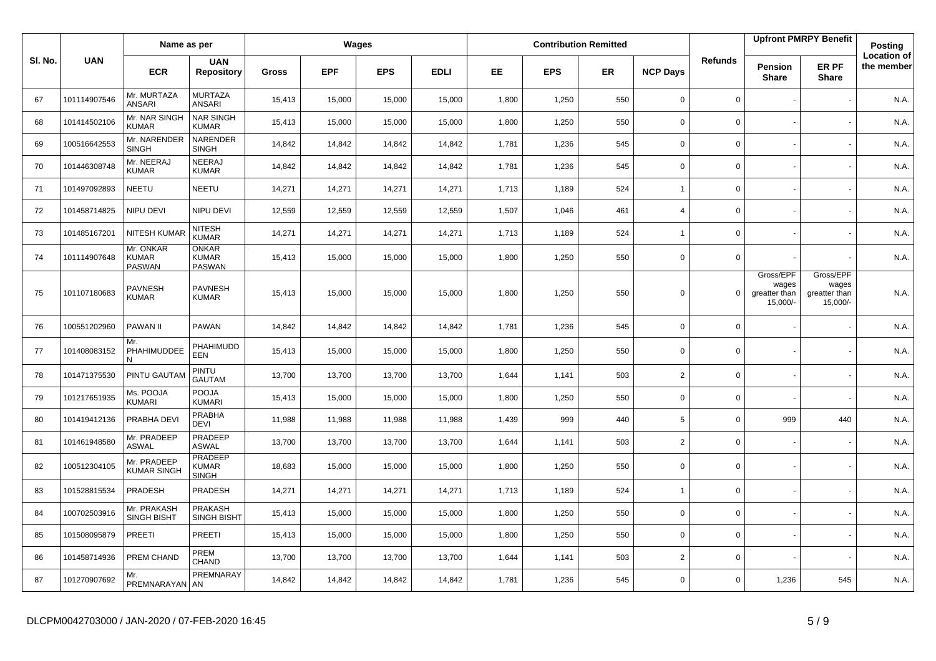|         |              | Name as per                                |                                                |        |            | Wages      |             |           |            | <b>Contribution Remitted</b> |                 |                |                                                 | <b>Upfront PMRPY Benefit</b>                    | Posting                          |
|---------|--------------|--------------------------------------------|------------------------------------------------|--------|------------|------------|-------------|-----------|------------|------------------------------|-----------------|----------------|-------------------------------------------------|-------------------------------------------------|----------------------------------|
| SI. No. | <b>UAN</b>   | <b>ECR</b>                                 | <b>UAN</b><br><b>Repository</b>                | Gross  | <b>EPF</b> | <b>EPS</b> | <b>EDLI</b> | <b>EE</b> | <b>EPS</b> | <b>ER</b>                    | <b>NCP Days</b> | <b>Refunds</b> | Pension<br><b>Share</b>                         | ER PF<br><b>Share</b>                           | <b>Location of</b><br>the member |
| 67      | 101114907546 | Mr. MURTAZA<br><b>ANSARI</b>               | <b>MURTAZA</b><br><b>ANSARI</b>                | 15,413 | 15,000     | 15,000     | 15,000      | 1,800     | 1,250      | 550                          | $\mathbf 0$     | $\mathbf 0$    |                                                 |                                                 | N.A.                             |
| 68      | 101414502106 | Mr. NAR SINGH<br><b>KUMAR</b>              | <b>NAR SINGH</b><br><b>KUMAR</b>               | 15,413 | 15,000     | 15,000     | 15,000      | 1,800     | 1,250      | 550                          | $\mathbf 0$     | 0              |                                                 |                                                 | N.A.                             |
| 69      | 100516642553 | Mr. NARENDER<br><b>SINGH</b>               | NARENDER<br><b>SINGH</b>                       | 14,842 | 14,842     | 14,842     | 14,842      | 1,781     | 1,236      | 545                          | $\mathbf 0$     | 0              |                                                 |                                                 | N.A.                             |
| 70      | 101446308748 | Mr. NEERAJ<br><b>KUMAR</b>                 | NEERAJ<br><b>KUMAR</b>                         | 14,842 | 14,842     | 14,842     | 14,842      | 1,781     | 1,236      | 545                          | $\mathbf 0$     | 0              |                                                 |                                                 | N.A.                             |
| 71      | 101497092893 | <b>NEETU</b>                               | <b>NEETU</b>                                   | 14,271 | 14,271     | 14,271     | 14,271      | 1,713     | 1,189      | 524                          | $\overline{1}$  | 0              |                                                 |                                                 | N.A.                             |
| 72      | 101458714825 | NIPU DEVI                                  | NIPU DEVI                                      | 12,559 | 12,559     | 12,559     | 12,559      | 1,507     | 1,046      | 461                          | $\overline{4}$  | 0              |                                                 |                                                 | N.A.                             |
| 73      | 101485167201 | <b>NITESH KUMAF</b>                        | <b>NITESH</b><br><b>KUMAR</b>                  | 14,271 | 14,271     | 14,271     | 14,271      | 1,713     | 1,189      | 524                          | $\overline{1}$  | 0              |                                                 |                                                 | N.A.                             |
| 74      | 101114907648 | Mr. ONKAR<br><b>KUMAR</b><br><b>PASWAN</b> | <b>ONKAR</b><br><b>KUMAR</b><br>PASWAN         | 15,413 | 15,000     | 15,000     | 15,000      | 1,800     | 1,250      | 550                          | $\Omega$        | $\mathbf 0$    |                                                 |                                                 | N.A.                             |
| 75      | 101107180683 | <b>PAVNESH</b><br><b>KUMAR</b>             | <b>PAVNESH</b><br><b>KUMAR</b>                 | 15,413 | 15,000     | 15,000     | 15,000      | 1,800     | 1,250      | 550                          | $\Omega$        | $\Omega$       | Gross/EPF<br>wages<br>greatter than<br>15,000/- | Gross/EPF<br>wages<br>greatter than<br>15,000/- | N.A.                             |
| 76      | 100551202960 | <b>PAWAN II</b>                            | PAWAN                                          | 14,842 | 14,842     | 14,842     | 14,842      | 1,781     | 1,236      | 545                          | $\mathbf 0$     | 0              |                                                 |                                                 | N.A.                             |
| 77      | 101408083152 | Mr.<br>PHAHIMUDDEE                         | PHAHIMUDD<br>EEN                               | 15,413 | 15,000     | 15,000     | 15,000      | 1,800     | 1,250      | 550                          | $\mathbf 0$     | 0              |                                                 |                                                 | N.A.                             |
| 78      | 101471375530 | PINTU GAUTAM                               | PINTU<br><b>GAUTAM</b>                         | 13,700 | 13,700     | 13,700     | 13,700      | 1,644     | 1,141      | 503                          | $\overline{2}$  | 0              |                                                 |                                                 | N.A.                             |
| 79      | 101217651935 | Ms. POOJA<br>KUMARI                        | POOJA<br><b>KUMARI</b>                         | 15,413 | 15,000     | 15,000     | 15,000      | 1,800     | 1,250      | 550                          | $\mathbf 0$     | $\Omega$       |                                                 |                                                 | N.A.                             |
| 80      | 101419412136 | PRABHA DEVI                                | PRABHA<br><b>DEVI</b>                          | 11,988 | 11,988     | 11,988     | 11,988      | 1,439     | 999        | 440                          | 5               | $\Omega$       | 999                                             | 440                                             | N.A.                             |
| 81      | 101461948580 | Mr. PRADEEP<br><b>ASWAL</b>                | PRADEEP<br><b>ASWAL</b>                        | 13,700 | 13,700     | 13,700     | 13,700      | 1,644     | 1,141      | 503                          | 2               | $\mathbf 0$    |                                                 |                                                 | N.A.                             |
| 82      | 100512304105 | Mr. PRADEEP<br><b>KUMAR SINGH</b>          | <b>PRADEEP</b><br><b>KUMAR</b><br><b>SINGH</b> | 18,683 | 15,000     | 15,000     | 15,000      | 1,800     | 1,250      | 550                          | $\mathbf 0$     | 0              |                                                 |                                                 | N.A.                             |
| 83      | 101528815534 | PRADESH                                    | PRADESH                                        | 14,271 | 14,271     | 14,271     | 14,271      | 1,713     | 1,189      | 524                          | $\overline{1}$  | $\mathbf 0$    |                                                 |                                                 | N.A.                             |
| 84      | 100702503916 | Mr. PRAKASH<br><b>SINGH BISHT</b>          | <b>PRAKASH</b><br><b>SINGH BISHT</b>           | 15,413 | 15,000     | 15,000     | 15,000      | 1,800     | 1,250      | 550                          | $\mathbf 0$     | $\mathbf 0$    |                                                 |                                                 | N.A.                             |
| 85      | 101508095879 | <b>PREETI</b>                              | PREETI                                         | 15,413 | 15,000     | 15,000     | 15,000      | 1,800     | 1,250      | 550                          | $\Omega$        | 0              |                                                 |                                                 | N.A.                             |
| 86      | 101458714936 | PREM CHAND                                 | PREM<br>CHAND                                  | 13,700 | 13,700     | 13,700     | 13,700      | 1,644     | 1,141      | 503                          | $\overline{2}$  | 0              |                                                 |                                                 | N.A.                             |
| 87      | 101270907692 | Mr.<br>PREMNARAYAN AN                      | PREMNARAY                                      | 14,842 | 14,842     | 14,842     | 14,842      | 1,781     | 1,236      | 545                          | $\Omega$        | 0              | 1,236                                           | 545                                             | N.A.                             |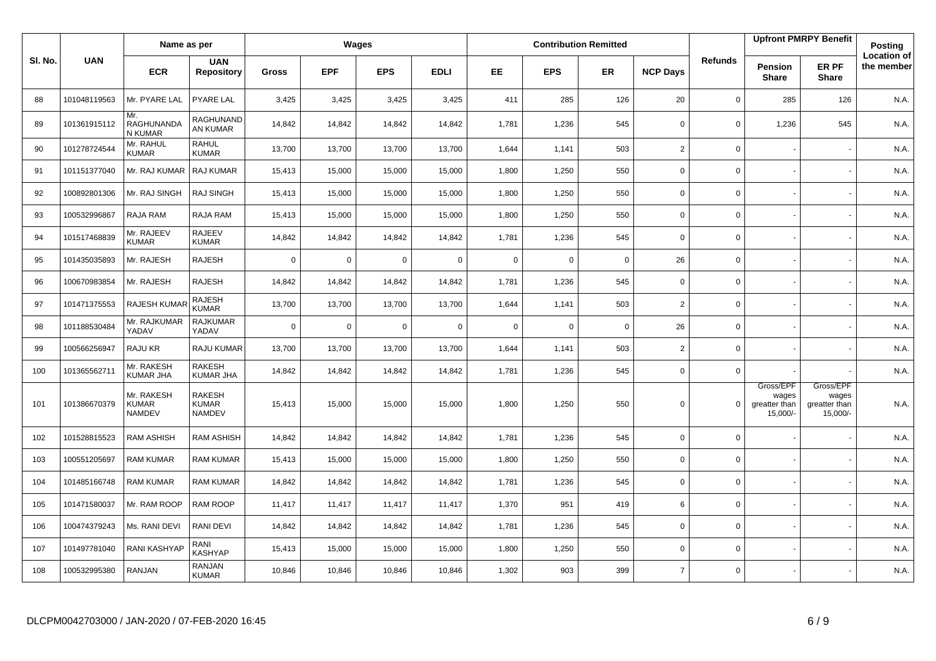|         |              | Name as per                                 |                                         |                |             | Wages       |             |             |             | <b>Contribution Remitted</b> |                 |                |                                                 | <b>Upfront PMRPY Benefit</b>                    | Posting                          |
|---------|--------------|---------------------------------------------|-----------------------------------------|----------------|-------------|-------------|-------------|-------------|-------------|------------------------------|-----------------|----------------|-------------------------------------------------|-------------------------------------------------|----------------------------------|
| SI. No. | <b>UAN</b>   | <b>ECR</b>                                  | <b>UAN</b><br><b>Repository</b>         | <b>Gross</b>   | <b>EPF</b>  | <b>EPS</b>  | <b>EDLI</b> | EE.         | <b>EPS</b>  | <b>ER</b>                    | <b>NCP Days</b> | <b>Refunds</b> | Pension<br><b>Share</b>                         | ER PF<br><b>Share</b>                           | <b>Location of</b><br>the member |
| 88      | 101048119563 | Mr. PYARE LAL                               | <b>PYARE LAL</b>                        | 3,425          | 3,425       | 3,425       | 3,425       | 411         | 285         | 126                          | 20              | 0              | 285                                             | 126                                             | N.A.                             |
| 89      | 101361915112 | Mr.<br>RAGHUNANDA<br>N KUMAR                | RAGHUNAND<br>AN KUMAR                   | 14,842         | 14,842      | 14,842      | 14,842      | 1,781       | 1,236       | 545                          | $\mathbf 0$     | 0              | 1,236                                           | 545                                             | N.A.                             |
| 90      | 101278724544 | Mr. RAHUL<br><b>KUMAR</b>                   | <b>RAHUL</b><br><b>KUMAR</b>            | 13,700         | 13,700      | 13,700      | 13,700      | 1,644       | 1,141       | 503                          | $\overline{2}$  | 0              |                                                 |                                                 | N.A.                             |
| 91      | 101151377040 | Mr. RAJ KUMAR                               | <b>RAJ KUMAR</b>                        | 15,413         | 15,000      | 15,000      | 15,000      | 1,800       | 1,250       | 550                          | $\mathbf 0$     | $\mathbf 0$    |                                                 |                                                 | N.A.                             |
| 92      | 100892801306 | Mr. RAJ SINGH                               | <b>RAJ SINGH</b>                        | 15,413         | 15,000      | 15,000      | 15,000      | 1,800       | 1,250       | 550                          | $\mathsf 0$     | $\mathbf 0$    |                                                 |                                                 | N.A.                             |
| 93      | 100532996867 | RAJA RAM                                    | RAJA RAM                                | 15,413         | 15,000      | 15,000      | 15,000      | 1,800       | 1,250       | 550                          | $\mathbf 0$     | $\mathbf 0$    |                                                 |                                                 | N.A.                             |
| 94      | 101517468839 | Mr. RAJEEV<br><b>KUMAR</b>                  | <b>RAJEEV</b><br><b>KUMAR</b>           | 14,842         | 14,842      | 14,842      | 14,842      | 1,781       | 1,236       | 545                          | $\mathbf 0$     | 0              |                                                 |                                                 | N.A.                             |
| 95      | 101435035893 | Mr. RAJESH                                  | <b>RAJESH</b>                           | $\Omega$       | $\mathbf 0$ | $\mathbf 0$ | $\mathbf 0$ | $\mathbf 0$ | 0           | $\mathbf 0$                  | 26              | 0              |                                                 |                                                 | N.A.                             |
| 96      | 100670983854 | Mr. RAJESH                                  | <b>RAJESH</b>                           | 14,842         | 14,842      | 14,842      | 14,842      | 1,781       | 1,236       | 545                          | $\mathbf 0$     | 0              |                                                 |                                                 | N.A.                             |
| 97      | 101471375553 | <b>RAJESH KUMAR</b>                         | <b>RAJESH</b><br><b>KUMAR</b>           | 13,700         | 13,700      | 13,700      | 13,700      | 1,644       | 1,141       | 503                          | $\overline{2}$  | 0              |                                                 |                                                 | N.A.                             |
| 98      | 101188530484 | Mr. RAJKUMAR<br>YADAV                       | <b>RAJKUMAR</b><br>YADAV                | $\overline{0}$ | $\mathbf 0$ | $\mathbf 0$ | $\mathbf 0$ | $\mathbf 0$ | $\mathbf 0$ | $\overline{0}$               | 26              | 0              |                                                 |                                                 | N.A.                             |
| 99      | 100566256947 | RAJU KR                                     | RAJU KUMAR                              | 13,700         | 13,700      | 13,700      | 13,700      | 1,644       | 1,141       | 503                          | $\overline{2}$  | 0              |                                                 |                                                 | N.A.                             |
| 100     | 101365562711 | Mr. RAKESH<br><b>KUMAR JHA</b>              | RAKESH<br><b>KUMAR JHA</b>              | 14,842         | 14,842      | 14,842      | 14,842      | 1,781       | 1,236       | 545                          | $\mathbf 0$     | $\mathbf 0$    |                                                 |                                                 | N.A.                             |
| 101     | 101386670379 | Mr. RAKESH<br><b>KUMAR</b><br><b>NAMDEV</b> | RAKESH<br><b>KUMAR</b><br><b>NAMDEV</b> | 15,413         | 15,000      | 15,000      | 15,000      | 1,800       | 1,250       | 550                          | $\Omega$        | $\Omega$       | Gross/EPF<br>wages<br>greatter than<br>15,000/- | Gross/EPF<br>wages<br>greatter than<br>15,000/- | N.A.                             |
| 102     | 101528815523 | <b>RAM ASHISH</b>                           | RAM ASHISH                              | 14,842         | 14,842      | 14,842      | 14,842      | 1,781       | 1,236       | 545                          | $\mathbf 0$     | 0              |                                                 |                                                 | N.A.                             |
| 103     | 100551205697 | <b>RAM KUMAR</b>                            | RAM KUMAR                               | 15,413         | 15,000      | 15,000      | 15,000      | 1,800       | 1,250       | 550                          | $\mathbf 0$     | 0              |                                                 |                                                 | N.A.                             |
| 104     | 101485166748 | <b>RAM KUMAR</b>                            | RAM KUMAR                               | 14,842         | 14,842      | 14,842      | 14,842      | 1,781       | 1,236       | 545                          | $\mathbf 0$     | 0              |                                                 |                                                 | N.A.                             |
| 105     | 101471580037 | Mr. RAM ROOP                                | <b>RAM ROOP</b>                         | 11,417         | 11,417      | 11,417      | 11,417      | 1,370       | 951         | 419                          | 6               | 0              |                                                 |                                                 | N.A.                             |
| 106     | 100474379243 | Ms. RANI DEVI                               | RANI DEVI                               | 14,842         | 14,842      | 14,842      | 14,842      | 1,781       | 1,236       | 545                          | $\mathbf 0$     | 0              |                                                 |                                                 | N.A.                             |
| 107     | 101497781040 | <b>RANI KASHYAP</b>                         | RANI<br>KASHYAP                         | 15,413         | 15,000      | 15,000      | 15,000      | 1,800       | 1,250       | 550                          | $\mathbf 0$     | 0              |                                                 |                                                 | N.A.                             |
| 108     | 100532995380 | <b>RANJAN</b>                               | <b>RANJAN</b><br><b>KUMAR</b>           | 10,846         | 10,846      | 10,846      | 10,846      | 1,302       | 903         | 399                          | $\overline{7}$  | 0              |                                                 |                                                 | N.A.                             |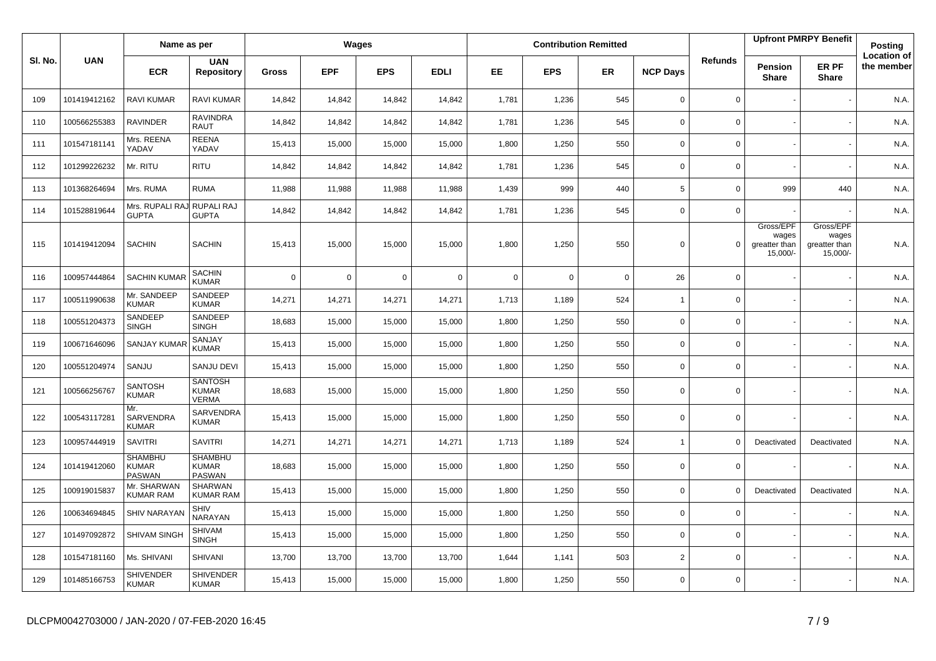|         |              | Name as per                                |                                                 |                |             | Wages       |                |             |             | <b>Contribution Remitted</b> |                 |                |                                                 | <b>Upfront PMRPY Benefit</b>                    | Posting                          |
|---------|--------------|--------------------------------------------|-------------------------------------------------|----------------|-------------|-------------|----------------|-------------|-------------|------------------------------|-----------------|----------------|-------------------------------------------------|-------------------------------------------------|----------------------------------|
| SI. No. | <b>UAN</b>   | <b>ECR</b>                                 | <b>UAN</b><br><b>Repository</b>                 | <b>Gross</b>   | <b>EPF</b>  | <b>EPS</b>  | <b>EDLI</b>    | EE.         | <b>EPS</b>  | ER.                          | <b>NCP Days</b> | <b>Refunds</b> | Pension<br><b>Share</b>                         | ER PF<br><b>Share</b>                           | <b>Location of</b><br>the member |
| 109     | 101419412162 | RAVI KUMAR                                 | <b>RAVI KUMAR</b>                               | 14,842         | 14,842      | 14,842      | 14,842         | 1,781       | 1,236       | 545                          | $\mathbf 0$     | $\mathbf 0$    |                                                 |                                                 | N.A.                             |
| 110     | 100566255383 | <b>RAVINDER</b>                            | <b>RAVINDRA</b><br><b>RAUT</b>                  | 14,842         | 14,842      | 14,842      | 14,842         | 1,781       | 1,236       | 545                          | $\mathbf 0$     | $\mathbf 0$    |                                                 |                                                 | N.A.                             |
| 111     | 101547181141 | Mrs. REENA<br>YADAV                        | <b>REENA</b><br>YADAV                           | 15,413         | 15,000      | 15,000      | 15,000         | 1,800       | 1,250       | 550                          | $\mathbf 0$     | $\mathbf 0$    |                                                 |                                                 | N.A.                             |
| 112     | 101299226232 | Mr. RITU                                   | <b>RITU</b>                                     | 14,842         | 14,842      | 14,842      | 14,842         | 1,781       | 1,236       | 545                          | $\mathbf 0$     | $\mathbf 0$    |                                                 |                                                 | N.A.                             |
| 113     | 101368264694 | Mrs. RUMA                                  | <b>RUMA</b>                                     | 11,988         | 11,988      | 11,988      | 11,988         | 1,439       | 999         | 440                          | 5               | $\mathbf 0$    | 999                                             | 440                                             | N.A.                             |
| 114     | 101528819644 | Mrs. RUPALI RAJ RUPALI RAJ<br><b>GUPTA</b> | <b>GUPTA</b>                                    | 14,842         | 14,842      | 14,842      | 14,842         | 1,781       | 1,236       | 545                          | $\mathbf 0$     | $\mathbf 0$    |                                                 |                                                 | N.A.                             |
| 115     | 101419412094 | <b>SACHIN</b>                              | <b>SACHIN</b>                                   | 15,413         | 15,000      | 15,000      | 15,000         | 1,800       | 1,250       | 550                          | $\mathbf 0$     | $\Omega$       | Gross/EPF<br>wages<br>greatter than<br>15,000/- | Gross/EPF<br>wages<br>greatter than<br>15,000/- | N.A.                             |
| 116     | 100957444864 | <b>SACHIN KUMAR</b>                        | <b>SACHIN</b><br><b>KUMAR</b>                   | $\overline{0}$ | $\mathbf 0$ | $\mathsf 0$ | $\overline{0}$ | $\mathbf 0$ | $\mathsf 0$ | $\overline{0}$               | 26              | $\mathbf 0$    |                                                 |                                                 | N.A.                             |
| 117     | 100511990638 | Mr. SANDEEP<br><b>KUMAR</b>                | SANDEEP<br><b>KUMAR</b>                         | 14,271         | 14,271      | 14,271      | 14,271         | 1,713       | 1,189       | 524                          | $\mathbf{1}$    | $\mathsf 0$    |                                                 |                                                 | N.A.                             |
| 118     | 100551204373 | SANDEEP<br><b>SINGH</b>                    | SANDEEP<br><b>SINGH</b>                         | 18,683         | 15,000      | 15,000      | 15,000         | 1,800       | 1,250       | 550                          | $\mathbf 0$     | $\mathbf 0$    |                                                 |                                                 | N.A.                             |
| 119     | 100671646096 | <b>SANJAY KUMAR</b>                        | SANJAY<br><b>KUMAR</b>                          | 15,413         | 15,000      | 15,000      | 15,000         | 1,800       | 1,250       | 550                          | $\mathbf 0$     | $\mathbf 0$    |                                                 |                                                 | N.A.                             |
| 120     | 100551204974 | SANJU                                      | <b>SANJU DEVI</b>                               | 15,413         | 15,000      | 15,000      | 15,000         | 1,800       | 1,250       | 550                          | $\mathbf 0$     | $\mathbf 0$    |                                                 |                                                 | N.A.                             |
| 121     | 100566256767 | <b>SANTOSH</b><br><b>KUMAR</b>             | <b>SANTOSH</b><br><b>KUMAR</b><br><b>VERMA</b>  | 18,683         | 15,000      | 15,000      | 15,000         | 1,800       | 1,250       | 550                          | $\mathbf 0$     | $\mathbf 0$    |                                                 |                                                 | N.A.                             |
| 122     | 100543117281 | Mr.<br>SARVENDRA<br><b>KUMAR</b>           | SARVENDRA<br>KUMAR                              | 15,413         | 15,000      | 15,000      | 15,000         | 1,800       | 1,250       | 550                          | $\mathbf 0$     | $\mathbf 0$    |                                                 |                                                 | N.A.                             |
| 123     | 100957444919 | <b>SAVITRI</b>                             | <b>SAVITRI</b>                                  | 14,271         | 14,271      | 14,271      | 14,271         | 1,713       | 1,189       | 524                          | $\mathbf{1}$    | $\mathbf 0$    | Deactivated                                     | Deactivated                                     | N.A.                             |
| 124     | 101419412060 | <b>SHAMBHU</b><br><b>KUMAR</b><br>PASWAN   | <b>SHAMBHU</b><br><b>KUMAR</b><br><b>PASWAN</b> | 18,683         | 15,000      | 15,000      | 15,000         | 1,800       | 1,250       | 550                          | $\mathbf 0$     | $\mathsf 0$    |                                                 |                                                 | N.A.                             |
| 125     | 100919015837 | Mr. SHARWAN<br><b>KUMAR RAM</b>            | SHARWAN<br><b>KUMAR RAM</b>                     | 15,413         | 15,000      | 15,000      | 15,000         | 1,800       | 1,250       | 550                          | $\mathbf 0$     | $\mathbf 0$    | Deactivated                                     | Deactivated                                     | N.A.                             |
| 126     | 100634694845 | <b>SHIV NARAYAN</b>                        | <b>SHIV</b><br>NARAYAN                          | 15,413         | 15,000      | 15,000      | 15,000         | 1,800       | 1,250       | 550                          | $\mathbf 0$     | $\mathsf 0$    |                                                 |                                                 | N.A.                             |
| 127     | 101497092872 | SHIVAM SINGH                               | <b>SHIVAM</b><br><b>SINGH</b>                   | 15,413         | 15,000      | 15,000      | 15,000         | 1,800       | 1,250       | 550                          | $\mathbf 0$     | $\mathsf 0$    |                                                 |                                                 | N.A.                             |
| 128     | 101547181160 | Ms. SHIVANI                                | <b>SHIVANI</b>                                  | 13,700         | 13,700      | 13,700      | 13,700         | 1,644       | 1,141       | 503                          | $\overline{2}$  | $\mathsf{O}$   |                                                 |                                                 | N.A.                             |
| 129     | 101485166753 | <b>SHIVENDER</b><br><b>KUMAR</b>           | <b>SHIVENDER</b><br><b>KUMAR</b>                | 15,413         | 15,000      | 15,000      | 15,000         | 1,800       | 1,250       | 550                          | $\mathbf 0$     | $\mathbf 0$    |                                                 |                                                 | N.A.                             |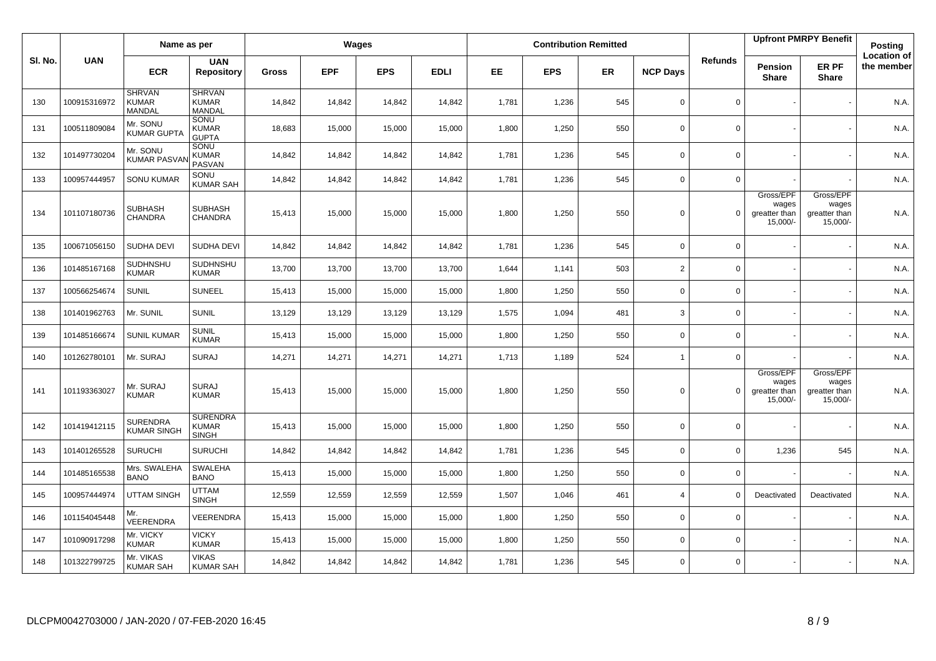|         |              | Name as per                                    |                                                 |              | <b>Wages</b> |            |             |           |            | <b>Contribution Remitted</b> |                 |                |                                                 | <b>Upfront PMRPY Benefit</b>                    | Posting                          |
|---------|--------------|------------------------------------------------|-------------------------------------------------|--------------|--------------|------------|-------------|-----------|------------|------------------------------|-----------------|----------------|-------------------------------------------------|-------------------------------------------------|----------------------------------|
| SI. No. | <b>UAN</b>   | <b>ECR</b>                                     | <b>UAN</b><br><b>Repository</b>                 | <b>Gross</b> | <b>EPF</b>   | <b>EPS</b> | <b>EDLI</b> | <b>EE</b> | <b>EPS</b> | <b>ER</b>                    | <b>NCP Days</b> | <b>Refunds</b> | Pension<br><b>Share</b>                         | ER PF<br><b>Share</b>                           | <b>Location of</b><br>the member |
| 130     | 100915316972 | <b>SHRVAN</b><br><b>KUMAR</b><br><b>MANDAL</b> | <b>SHRVAN</b><br><b>KUMAR</b><br>MANDAL         | 14,842       | 14,842       | 14,842     | 14,842      | 1,781     | 1,236      | 545                          | $\mathbf 0$     | $\mathbf 0$    |                                                 |                                                 | N.A.                             |
| 131     | 100511809084 | Mr. SONU<br><b>KUMAR GUPTA</b>                 | SONU<br><b>KUMAR</b><br><b>GUPTA</b>            | 18,683       | 15,000       | 15,000     | 15,000      | 1,800     | 1,250      | 550                          | $\mathbf 0$     | $\mathbf 0$    |                                                 |                                                 | N.A.                             |
| 132     | 101497730204 | Mr. SONU<br><b>KUMAR PASVA</b>                 | SONU<br><b>KUMAR</b><br>PASVAN                  | 14,842       | 14,842       | 14,842     | 14,842      | 1,781     | 1,236      | 545                          | $\mathbf 0$     | $\mathbf 0$    |                                                 |                                                 | N.A.                             |
| 133     | 100957444957 | <b>SONU KUMAR</b>                              | SONU<br><b>KUMAR SAH</b>                        | 14,842       | 14,842       | 14,842     | 14,842      | 1,781     | 1,236      | 545                          | $\mathbf 0$     | $\mathbf 0$    |                                                 |                                                 | N.A.                             |
| 134     | 101107180736 | <b>SUBHASH</b><br><b>CHANDRA</b>               | <b>SUBHASH</b><br><b>CHANDRA</b>                | 15,413       | 15,000       | 15,000     | 15,000      | 1,800     | 1,250      | 550                          | $\mathbf 0$     | $\mathbf 0$    | Gross/EPF<br>wages<br>greatter than<br>15,000/- | Gross/EPF<br>wages<br>greatter than<br>15,000/- | N.A.                             |
| 135     | 100671056150 | SUDHA DEVI                                     | SUDHA DEVI                                      | 14,842       | 14,842       | 14,842     | 14,842      | 1,781     | 1,236      | 545                          | $\mathbf 0$     | $\mathbf 0$    |                                                 |                                                 | N.A.                             |
| 136     | 101485167168 | SUDHNSHU<br><b>KUMAR</b>                       | SUDHNSHU<br><b>KUMAR</b>                        | 13,700       | 13,700       | 13,700     | 13,700      | 1,644     | 1,141      | 503                          | $\overline{2}$  | $\mathsf 0$    |                                                 |                                                 | N.A.                             |
| 137     | 100566254674 | <b>SUNIL</b>                                   | <b>SUNEEL</b>                                   | 15,413       | 15,000       | 15,000     | 15,000      | 1,800     | 1,250      | 550                          | $\mathsf 0$     | $\mathbf 0$    |                                                 |                                                 | N.A.                             |
| 138     | 101401962763 | Mr. SUNIL                                      | <b>SUNIL</b>                                    | 13,129       | 13,129       | 13,129     | 13,129      | 1,575     | 1,094      | 481                          | 3               | $\mathbf 0$    |                                                 |                                                 | N.A.                             |
| 139     | 101485166674 | <b>SUNIL KUMAR</b>                             | <b>SUNIL</b><br><b>KUMAR</b>                    | 15,413       | 15,000       | 15,000     | 15,000      | 1,800     | 1,250      | 550                          | $\mathbf 0$     | $\mathbf 0$    |                                                 |                                                 | N.A.                             |
| 140     | 101262780101 | Mr. SURAJ                                      | <b>SURAJ</b>                                    | 14,271       | 14,271       | 14,271     | 14,271      | 1,713     | 1,189      | 524                          | $\mathbf{1}$    | $\mathsf 0$    |                                                 |                                                 | N.A.                             |
| 141     | 101193363027 | Mr. SURAJ<br><b>KUMAR</b>                      | <b>SURAJ</b><br><b>KUMAR</b>                    | 15,413       | 15,000       | 15,000     | 15,000      | 1,800     | 1,250      | 550                          | $\mathbf 0$     | $\Omega$       | Gross/EPF<br>wages<br>greatter than<br>15,000/- | Gross/EPF<br>wages<br>greatter than<br>15,000/- | N.A.                             |
| 142     | 101419412115 | <b>SURENDRA</b><br><b>KUMAR SINGH</b>          | <b>SURENDRA</b><br><b>KUMAR</b><br><b>SINGH</b> | 15,413       | 15,000       | 15,000     | 15,000      | 1,800     | 1,250      | 550                          | $\mathbf 0$     | $\mathbf 0$    |                                                 |                                                 | N.A.                             |
| 143     | 101401265528 | <b>SURUCHI</b>                                 | <b>SURUCHI</b>                                  | 14,842       | 14,842       | 14,842     | 14,842      | 1,781     | 1,236      | 545                          | $\mathbf 0$     | $\mathbf 0$    | 1,236                                           | 545                                             | N.A.                             |
| 144     | 101485165538 | Mrs. SWALEHA<br><b>BANO</b>                    | SWALEHA<br><b>BANO</b>                          | 15,413       | 15,000       | 15,000     | 15,000      | 1,800     | 1,250      | 550                          | $\mathbf 0$     | $\mathbf 0$    |                                                 |                                                 | N.A.                             |
| 145     | 100957444974 | <b>UTTAM SINGH</b>                             | <b>UTTAM</b><br><b>SINGH</b>                    | 12,559       | 12,559       | 12,559     | 12,559      | 1,507     | 1,046      | 461                          | $\overline{4}$  | $\mathbf 0$    | Deactivated                                     | Deactivated                                     | N.A.                             |
| 146     | 101154045448 | Mr.<br>VEERENDRA                               | VEERENDRA                                       | 15,413       | 15,000       | 15,000     | 15,000      | 1,800     | 1,250      | 550                          | $\mathbf 0$     | $\mathbf 0$    |                                                 |                                                 | N.A.                             |
| 147     | 101090917298 | Mr. VICKY<br><b>KUMAR</b>                      | <b>VICKY</b><br><b>KUMAR</b>                    | 15,413       | 15,000       | 15,000     | 15,000      | 1,800     | 1,250      | 550                          | $\mathbf 0$     | $\mathbf 0$    |                                                 |                                                 | N.A.                             |
| 148     | 101322799725 | Mr. VIKAS<br><b>KUMAR SAH</b>                  | <b>VIKAS</b><br><b>KUMAR SAH</b>                | 14,842       | 14,842       | 14,842     | 14,842      | 1,781     | 1,236      | 545                          | $\mathbf 0$     | $\mathsf 0$    |                                                 |                                                 | N.A.                             |